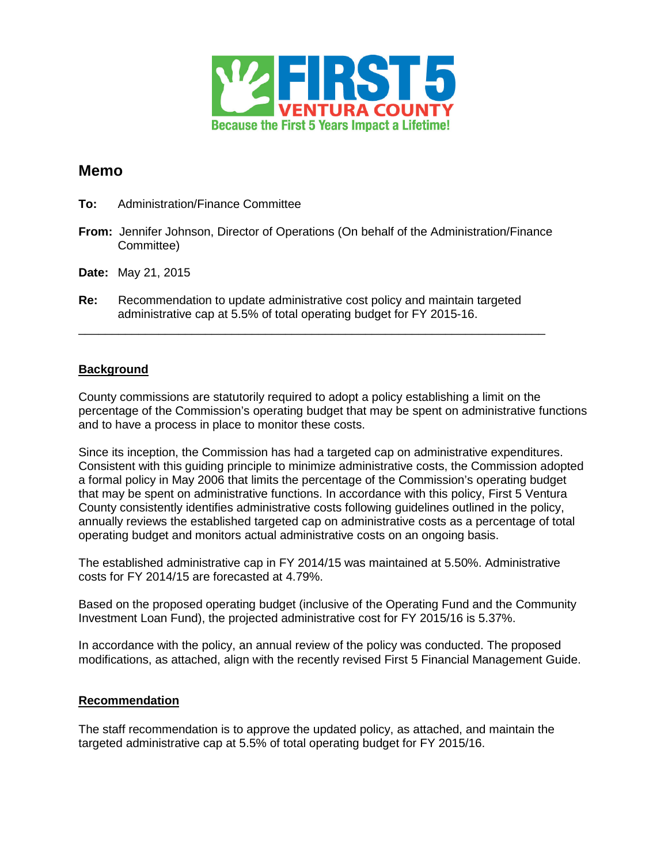

# **Memo**

- **To:** Administration/Finance Committee
- **From:** Jennifer Johnson, Director of Operations (On behalf of the Administration/Finance Committee)
- **Date:** May 21, 2015
- **Re:** Recommendation to update administrative cost policy and maintain targeted administrative cap at 5.5% of total operating budget for FY 2015-16.

\_\_\_\_\_\_\_\_\_\_\_\_\_\_\_\_\_\_\_\_\_\_\_\_\_\_\_\_\_\_\_\_\_\_\_\_\_\_\_\_\_\_\_\_\_\_\_\_\_\_\_\_\_\_\_\_\_\_\_\_\_\_\_\_\_\_\_\_\_\_

### **Background**

County commissions are statutorily required to adopt a policy establishing a limit on the percentage of the Commission's operating budget that may be spent on administrative functions and to have a process in place to monitor these costs.

Since its inception, the Commission has had a targeted cap on administrative expenditures. Consistent with this guiding principle to minimize administrative costs, the Commission adopted a formal policy in May 2006 that limits the percentage of the Commission's operating budget that may be spent on administrative functions. In accordance with this policy, First 5 Ventura County consistently identifies administrative costs following guidelines outlined in the policy, annually reviews the established targeted cap on administrative costs as a percentage of total operating budget and monitors actual administrative costs on an ongoing basis.

The established administrative cap in FY 2014/15 was maintained at 5.50%. Administrative costs for FY 2014/15 are forecasted at 4.79%.

Based on the proposed operating budget (inclusive of the Operating Fund and the Community Investment Loan Fund), the projected administrative cost for FY 2015/16 is 5.37%.

In accordance with the policy, an annual review of the policy was conducted. The proposed modifications, as attached, align with the recently revised First 5 Financial Management Guide.

### **Recommendation**

The staff recommendation is to approve the updated policy, as attached, and maintain the targeted administrative cap at 5.5% of total operating budget for FY 2015/16.